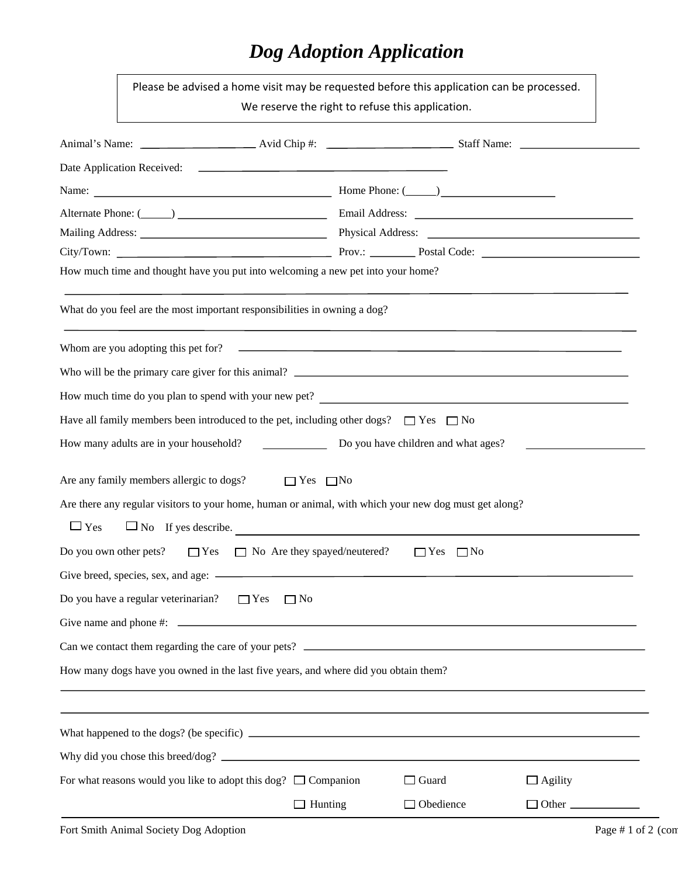## *Dog Adoption Application*

|                                                                                                | Please be advised a home visit may be requested before this application can be processed.<br>We reserve the right to refuse this application. |                |                                                                                                                                                                                                                                |                     |  |  |  |  |  |
|------------------------------------------------------------------------------------------------|-----------------------------------------------------------------------------------------------------------------------------------------------|----------------|--------------------------------------------------------------------------------------------------------------------------------------------------------------------------------------------------------------------------------|---------------------|--|--|--|--|--|
|                                                                                                |                                                                                                                                               |                |                                                                                                                                                                                                                                |                     |  |  |  |  |  |
|                                                                                                |                                                                                                                                               |                |                                                                                                                                                                                                                                |                     |  |  |  |  |  |
| Name:                                                                                          |                                                                                                                                               |                | $\frac{1}{2}$ Home Phone: $\frac{1}{2}$                                                                                                                                                                                        |                     |  |  |  |  |  |
|                                                                                                |                                                                                                                                               |                | Alternate Phone: (Champion Communication Communication Communication Communication Communication Communication Communication Communication Communication Communication Communication Communication Communication Communication |                     |  |  |  |  |  |
|                                                                                                |                                                                                                                                               |                |                                                                                                                                                                                                                                |                     |  |  |  |  |  |
|                                                                                                |                                                                                                                                               |                |                                                                                                                                                                                                                                |                     |  |  |  |  |  |
|                                                                                                | How much time and thought have you put into welcoming a new pet into your home?                                                               |                |                                                                                                                                                                                                                                |                     |  |  |  |  |  |
|                                                                                                | What do you feel are the most important responsibilities in owning a dog?                                                                     |                |                                                                                                                                                                                                                                |                     |  |  |  |  |  |
|                                                                                                |                                                                                                                                               |                |                                                                                                                                                                                                                                |                     |  |  |  |  |  |
|                                                                                                |                                                                                                                                               |                |                                                                                                                                                                                                                                |                     |  |  |  |  |  |
| How much time do you plan to spend with your new pet?                                          |                                                                                                                                               |                |                                                                                                                                                                                                                                |                     |  |  |  |  |  |
| Have all family members been introduced to the pet, including other dogs? $\Box$ Yes $\Box$ No |                                                                                                                                               |                |                                                                                                                                                                                                                                |                     |  |  |  |  |  |
|                                                                                                | How many adults are in your household?                                                                                                        |                | Do you have children and what ages?                                                                                                                                                                                            |                     |  |  |  |  |  |
|                                                                                                | Are any family members allergic to dogs? $\Box$ Yes $\Box$ No                                                                                 |                |                                                                                                                                                                                                                                |                     |  |  |  |  |  |
|                                                                                                | Are there any regular visitors to your home, human or animal, with which your new dog must get along?                                         |                |                                                                                                                                                                                                                                |                     |  |  |  |  |  |
| $\Box$ Yes                                                                                     | $\Box$ No If yes describe.                                                                                                                    |                |                                                                                                                                                                                                                                |                     |  |  |  |  |  |
|                                                                                                | Do you own other pets? $\Box$ Yes $\Box$ No Are they spayed/neutered?                                                                         |                | $\Box$ Yes<br>$\Box$ No                                                                                                                                                                                                        |                     |  |  |  |  |  |
|                                                                                                |                                                                                                                                               |                |                                                                                                                                                                                                                                |                     |  |  |  |  |  |
|                                                                                                | Do you have a regular veterinarian? $\Box$ Yes                                                                                                | $\Box$ No      |                                                                                                                                                                                                                                |                     |  |  |  |  |  |
|                                                                                                |                                                                                                                                               |                |                                                                                                                                                                                                                                |                     |  |  |  |  |  |
|                                                                                                |                                                                                                                                               |                |                                                                                                                                                                                                                                |                     |  |  |  |  |  |
| How many dogs have you owned in the last five years, and where did you obtain them?            |                                                                                                                                               |                |                                                                                                                                                                                                                                |                     |  |  |  |  |  |
|                                                                                                |                                                                                                                                               |                |                                                                                                                                                                                                                                |                     |  |  |  |  |  |
|                                                                                                | ,我们也不会有什么。""我们的人,我们也不会有什么?""我们的人,我们也不会有什么?""我们的人,我们也不会有什么?""我们的人,我们也不会有什么?""我们的人                                                              |                |                                                                                                                                                                                                                                |                     |  |  |  |  |  |
|                                                                                                |                                                                                                                                               |                |                                                                                                                                                                                                                                |                     |  |  |  |  |  |
|                                                                                                | For what reasons would you like to adopt this dog? $\Box$ Companion                                                                           |                | $\Box$ Guard                                                                                                                                                                                                                   | $\Box$ Agility      |  |  |  |  |  |
|                                                                                                |                                                                                                                                               | $\Box$ Hunting | $\Box$ Obedience                                                                                                                                                                                                               | $\Box$ Other $\Box$ |  |  |  |  |  |